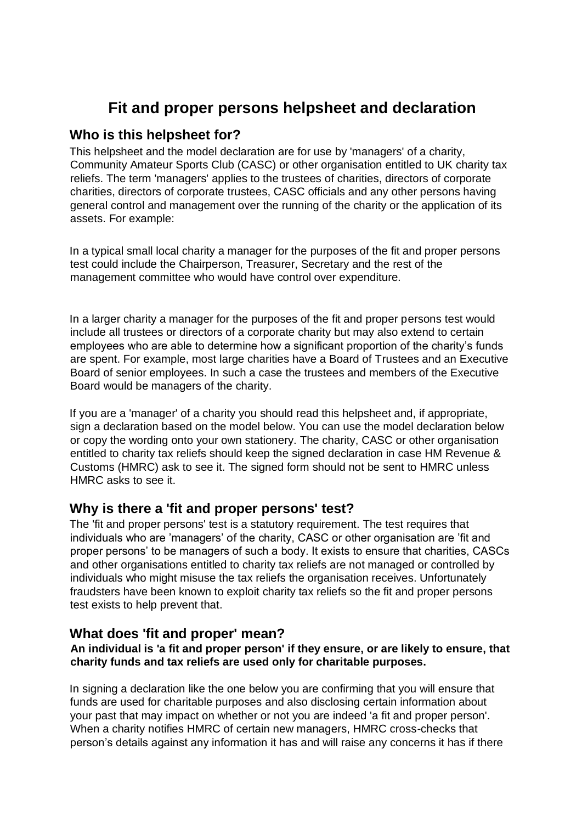# **Fit and proper persons helpsheet and declaration**

## **Who is this helpsheet for?**

This helpsheet and the model declaration are for use by 'managers' of a charity, Community Amateur Sports Club (CASC) or other organisation entitled to UK charity tax reliefs. The term 'managers' applies to the trustees of charities, directors of corporate charities, directors of corporate trustees, CASC officials and any other persons having general control and management over the running of the charity or the application of its assets. For example:

In a typical small local charity a manager for the purposes of the fit and proper persons test could include the Chairperson, Treasurer, Secretary and the rest of the management committee who would have control over expenditure.

In a larger charity a manager for the purposes of the fit and proper persons test would include all trustees or directors of a corporate charity but may also extend to certain employees who are able to determine how a significant proportion of the charity's funds are spent. For example, most large charities have a Board of Trustees and an Executive Board of senior employees. In such a case the trustees and members of the Executive Board would be managers of the charity.

If you are a 'manager' of a charity you should read this helpsheet and, if appropriate, sign a declaration based on the model below. You can use the model declaration below or copy the wording onto your own stationery. The charity, CASC or other organisation entitled to charity tax reliefs should keep the signed declaration in case HM Revenue & Customs (HMRC) ask to see it. The signed form should not be sent to HMRC unless HMRC asks to see it.

## **Why is there a 'fit and proper persons' test?**

The 'fit and proper persons' test is a statutory requirement. The test requires that individuals who are 'managers' of the charity, CASC or other organisation are 'fit and proper persons' to be managers of such a body. It exists to ensure that charities, CASCs and other organisations entitled to charity tax reliefs are not managed or controlled by individuals who might misuse the tax reliefs the organisation receives. Unfortunately fraudsters have been known to exploit charity tax reliefs so the fit and proper persons test exists to help prevent that.

# **What does 'fit and proper' mean?**

#### **An individual is 'a fit and proper person' if they ensure, or are likely to ensure, that charity funds and tax reliefs are used only for charitable purposes.**

In signing a declaration like the one below you are confirming that you will ensure that funds are used for charitable purposes and also disclosing certain information about your past that may impact on whether or not you are indeed 'a fit and proper person'. When a charity notifies HMRC of certain new managers, HMRC cross-checks that person's details against any information it has and will raise any concerns it has if there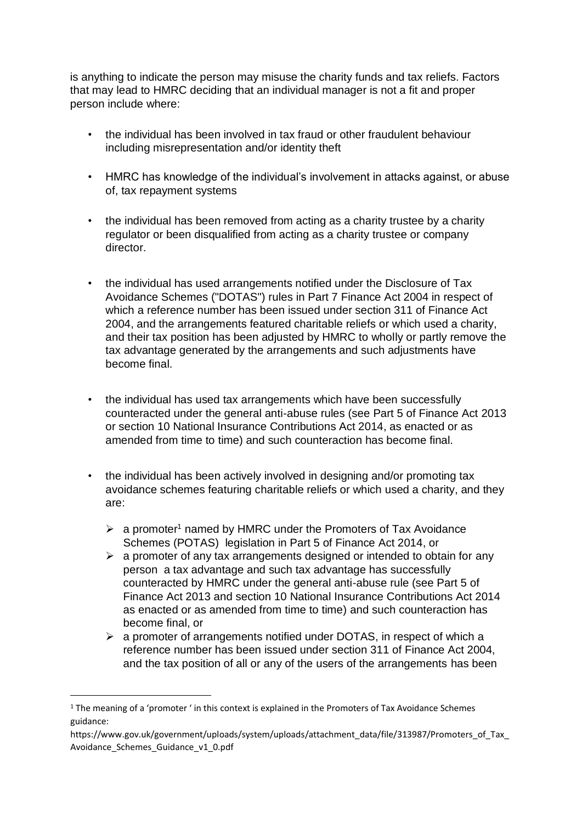is anything to indicate the person may misuse the charity funds and tax reliefs. Factors that may lead to HMRC deciding that an individual manager is not a fit and proper person include where:

- the individual has been involved in tax fraud or other fraudulent behaviour including misrepresentation and/or identity theft
- HMRC has knowledge of the individual's involvement in attacks against, or abuse of, tax repayment systems
- the individual has been removed from acting as a charity trustee by a charity regulator or been disqualified from acting as a charity trustee or company director.
- the individual has used arrangements notified under the Disclosure of Tax Avoidance Schemes ("DOTAS") rules in Part 7 Finance Act 2004 in respect of which a reference number has been issued under section 311 of Finance Act 2004, and the arrangements featured charitable reliefs or which used a charity, and their tax position has been adjusted by HMRC to wholly or partly remove the tax advantage generated by the arrangements and such adjustments have become final.
- the individual has used tax arrangements which have been successfully counteracted under the general anti-abuse rules (see Part 5 of Finance Act 2013 or section 10 National Insurance Contributions Act 2014, as enacted or as amended from time to time) and such counteraction has become final.
- the individual has been actively involved in designing and/or promoting tax avoidance schemes featuring charitable reliefs or which used a charity, and they are:
	- $\geq$  a promoter<sup>1</sup> named by HMRC under the Promoters of Tax Avoidance Schemes (POTAS) legislation in Part 5 of Finance Act 2014, or
	- $\triangleright$  a promoter of any tax arrangements designed or intended to obtain for any person a tax advantage and such tax advantage has successfully counteracted by HMRC under the general anti-abuse rule (see Part 5 of Finance Act 2013 and section 10 National Insurance Contributions Act 2014 as enacted or as amended from time to time) and such counteraction has become final, or
	- ➢ a promoter of arrangements notified under DOTAS, in respect of which a reference number has been issued under section 311 of Finance Act 2004, and the tax position of all or any of the users of the arrangements has been

<sup>&</sup>lt;sup>1</sup> The meaning of a 'promoter ' in this context is explained in the Promoters of Tax Avoidance Schemes guidance:

https://www.gov.uk/government/uploads/system/uploads/attachment\_data/file/313987/Promoters\_of\_Tax Avoidance\_Schemes\_Guidance\_v1\_0.pdf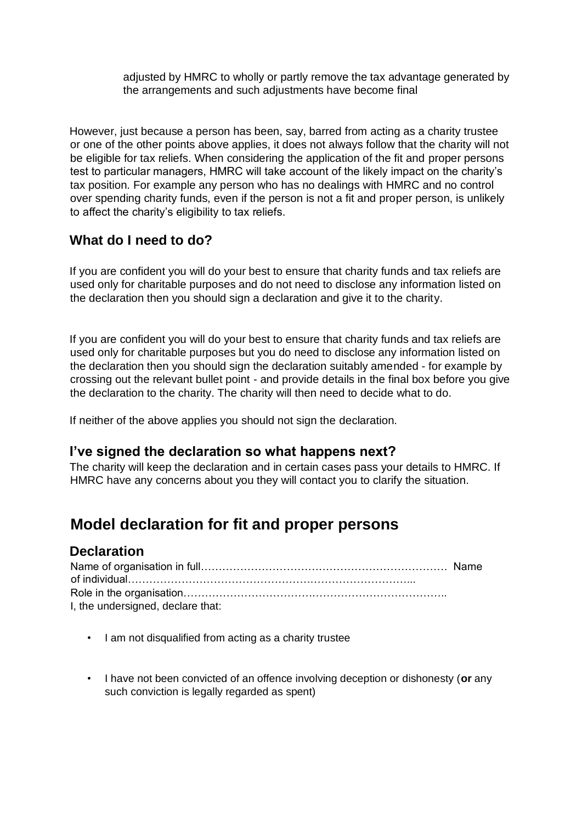adjusted by HMRC to wholly or partly remove the tax advantage generated by the arrangements and such adjustments have become final

However, just because a person has been, say, barred from acting as a charity trustee or one of the other points above applies, it does not always follow that the charity will not be eligible for tax reliefs. When considering the application of the fit and proper persons test to particular managers, HMRC will take account of the likely impact on the charity's tax position. For example any person who has no dealings with HMRC and no control over spending charity funds, even if the person is not a fit and proper person, is unlikely to affect the charity's eligibility to tax reliefs.

# **What do I need to do?**

If you are confident you will do your best to ensure that charity funds and tax reliefs are used only for charitable purposes and do not need to disclose any information listed on the declaration then you should sign a declaration and give it to the charity.

If you are confident you will do your best to ensure that charity funds and tax reliefs are used only for charitable purposes but you do need to disclose any information listed on the declaration then you should sign the declaration suitably amended - for example by crossing out the relevant bullet point - and provide details in the final box before you give the declaration to the charity. The charity will then need to decide what to do.

If neither of the above applies you should not sign the declaration.

## **I've signed the declaration so what happens next?**

The charity will keep the declaration and in certain cases pass your details to HMRC. If HMRC have any concerns about you they will contact you to clarify the situation.

# **Model declaration for fit and proper persons**

## **Declaration**

| I, the undersigned, declare that: |  |
|-----------------------------------|--|

- I am not disqualified from acting as a charity trustee
- I have not been convicted of an offence involving deception or dishonesty (**or** any such conviction is legally regarded as spent)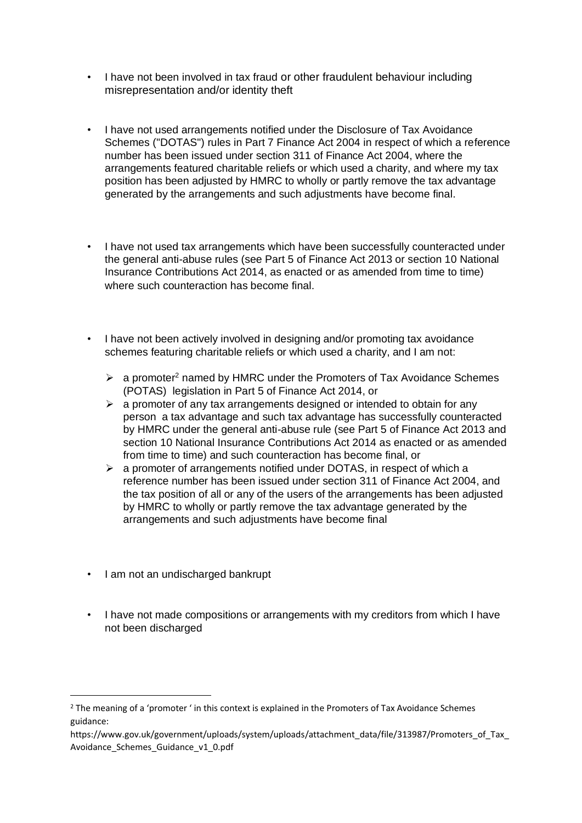- I have not been involved in tax fraud or other fraudulent behaviour including misrepresentation and/or identity theft
- I have not used arrangements notified under the Disclosure of Tax Avoidance Schemes ("DOTAS") rules in Part 7 Finance Act 2004 in respect of which a reference number has been issued under section 311 of Finance Act 2004, where the arrangements featured charitable reliefs or which used a charity, and where my tax position has been adjusted by HMRC to wholly or partly remove the tax advantage generated by the arrangements and such adjustments have become final.
- I have not used tax arrangements which have been successfully counteracted under the general anti-abuse rules (see Part 5 of Finance Act 2013 or section 10 National Insurance Contributions Act 2014, as enacted or as amended from time to time) where such counteraction has become final.
- I have not been actively involved in designing and/or promoting tax avoidance schemes featuring charitable reliefs or which used a charity, and I am not:
	- $\triangleright$  a promoter<sup>2</sup> named by HMRC under the Promoters of Tax Avoidance Schemes (POTAS) legislation in Part 5 of Finance Act 2014, or
	- $\triangleright$  a promoter of any tax arrangements designed or intended to obtain for any person a tax advantage and such tax advantage has successfully counteracted by HMRC under the general anti-abuse rule (see Part 5 of Finance Act 2013 and section 10 National Insurance Contributions Act 2014 as enacted or as amended from time to time) and such counteraction has become final, or
	- ➢ a promoter of arrangements notified under DOTAS, in respect of which a reference number has been issued under section 311 of Finance Act 2004, and the tax position of all or any of the users of the arrangements has been adjusted by HMRC to wholly or partly remove the tax advantage generated by the arrangements and such adjustments have become final
- I am not an undischarged bankrupt
- I have not made compositions or arrangements with my creditors from which I have not been discharged

<sup>&</sup>lt;sup>2</sup> The meaning of a 'promoter ' in this context is explained in the Promoters of Tax Avoidance Schemes guidance:

https://www.gov.uk/government/uploads/system/uploads/attachment\_data/file/313987/Promoters\_of\_Tax Avoidance\_Schemes\_Guidance\_v1\_0.pdf